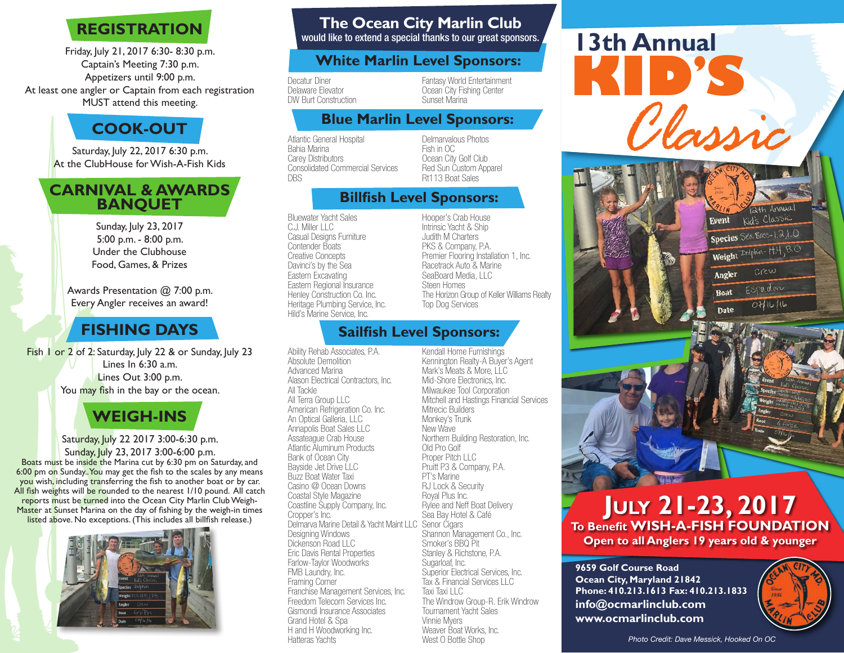# **REGISTRATION**

Friday, July 21, 2017 6:30- 8:30 p.m. Captain's Meeting 7:30 p.m. Appetizers until 9:00 p.m. At least one angler or Captain from each registration MUST attend this meeting.

## **COOK-OUT**

Saturday, July 22, 2017 6:30 p.m. At the ClubHouse for Wish-A-Fish Kids

#### **CARNIVAL & AWARDS BANQUET**

Sunday, July 23, 2017 5:00 p.m. - 8:00 p.m. Under the Clubhouse Food, Games, & Prizes

Awards Presentation @ 7:00 p.m. Every Angler receives an award!

## **FISHING DAYS**

Fish 1 or 2 of 2: Saturday, July 22 & or Sunday, July 23 Lines In 6:30 a.m. Lines Out 3:00 p.m. You may fish in the bay or the ocean.

## **WEIGH-INS**

Saturday, July 22 2017 3:00-6:30 p.m. Sunday, July 23, 2017 3:00-6:00 p.m. Boats must be inside the Marina cut by 6:30 pm on Saturday, and 6:00 pm on Sunday. You may get the fish to the scales by any means you wish, including transferring the fish to another boat or by car. All fish weights will be rounded to the nearest 1/10 pound. All catch reports must be turned into the Ocean City Marlin Club Weigh-Master at Sunset Marina on the day of fishing by the weigh-in times listed above. No exceptions. (This includes all billfish release.)



## **The Ocean City Marlin Club**

would like to extend a special thanks to our great sponsors.

#### **White Marlin Level Sponsors:**

Decatur Diner Delaware Elevator DW Burt Construction

Fantasy World Entertainment Ocean City Fishing Center Sunset Marina

#### **Blue Marlin Level Sponsors:**

Atlantic General Hospital Bahia Marina Carey Distributors Consolidated Commercial Services DBS

Delmarvalous Photos Fish in OC Ocean City Golf Club Red Sun Custom Apparel Rt113 Boat Sales

#### **Billfish Level Sponsors:**

Bluewater Yacht Sales C.J. Miller LLC Casual Designs Furniture Contender Boats Creative Concepts Davinci's by the Sea Eastern Excavating Eastern Regional Insurance Henley Construction Co. Inc. Heritage Plumbing Service, Inc. Hild's Marine Service, Inc.

Hooper's Crab House Intrinsic Yacht & Ship Judith M Charters PKS & Company, P.A. Premier Flooring Installation 1, Inc. Racetrack Auto & Marine SeaBoard Media, LLC Steen Homes The Horizon Group of Keller Williams Realty Top Dog Services

#### **Sailfish Level Sponsors:**

Ability Rehab Associates, P.A. Absolute Demolition Advanced Marina Alason Electrical Contractors, Inc. All Tackle All Terra Group LLC American Refrigeration Co. Inc. An Optical Galleria, LLC Annapolis Boat Sales LLC Assateague Crab House Atlantic Aluminum Products Bank of Ocean City Bayside Jet Drive LLC Buzz Boat Water Taxi Casino @ Ocean Downs Coastal Style Magazine Coastline Supply Company, Inc. Cropper's Inc. Delmarva Marine Detail & Yacht Maint LLC Senor Cigars Designing Windows Dickenson Road LLC Eric Davis Rental Properties Farlow-Taylor Woodworks FMB Laundry, Inc. Framing Corner Franchise Management Services, Inc. Freedom Telecom Services Inc. Gismondi Insurance Associates Grand Hotel & Spa H and H Woodworking Inc. Hatteras Yachts

Kendall Home Furnishings Kennington Realty-A Buyer's Agent Mark's Meats & More, LLC Mid-Shore Electronics, Inc. Milwaukee Tool Corporation Mitchell and Hastings Financial Services Mitrecic Builders Monkey's Trunk New Wave Northern Building Restoration, Inc. Old Pro Golf Proper Pitch LLC Pruitt P3 & Company, P.A. PT's Marine RJ Lock & Security Royal Plus Inc. Rylee and Neff Boat Delivery Sea Bay Hotel & Café Shannon Management Co., Inc. Smoker's BBQ Pit Stanley & Richstone, P.A. Sugarloaf, Inc. Superior Electrical Services, Inc. Tax & Financial Services LLC Taxi Taxi LLC The Windrow Group-R. Erik Windrow Tournament Yacht Sales Vinnie Myers Weaver Boat Works, Inc.<br>West O Bottle Shop



**July 21-23, 2017 To Benefit WISH-A-FISH FOUNDATION Open to all Anglers 19 years old & younger**

**9659 Golf Course Road Ocean City, Maryland 21842 Phone: 410.213.1613 Fax: 410.213.1833 info@ocmarlinclub.com www.ocmarlinclub.com**



Kid's Classic

Espadon

 $071616$ 

Species Sea Bass-1.2,1.0 Weight Dolphin- M.4, 8.0 crew

Event

Angler

**Boat** 

Date